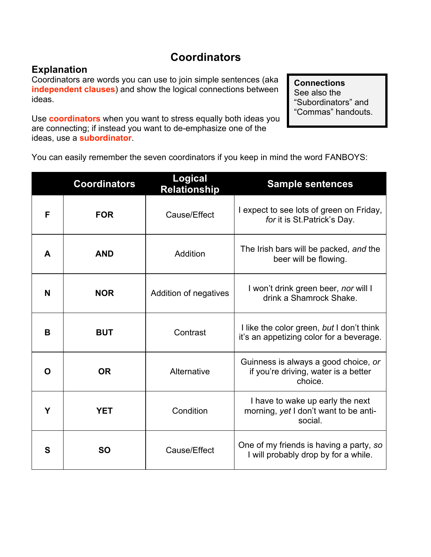## **Coordinators**

## **Explanation**

Coordinators are words you can use to join simple sentences (aka **independent clauses**) and show the logical connections between ideas.

Use **coordinators** when you want to stress equally both ideas you are connecting; if instead you want to de-emphasize one of the ideas, use a **subordinator**.

**Connections** See also the "Subordinators" and "Commas" handouts.

You can easily remember the seven coordinators if you keep in mind the word FANBOYS:

|   | <b>Coordinators</b> | <b>Logical</b><br><b>Relationship</b> | <b>Sample sentences</b>                                                                 |
|---|---------------------|---------------------------------------|-----------------------------------------------------------------------------------------|
| F | <b>FOR</b>          | Cause/Effect                          | I expect to see lots of green on Friday,<br>for it is St. Patrick's Day.                |
| A | <b>AND</b>          | Addition                              | The Irish bars will be packed, and the<br>beer will be flowing.                         |
| N | <b>NOR</b>          | Addition of negatives                 | I won't drink green beer, nor will I<br>drink a Shamrock Shake.                         |
| B | <b>BUT</b>          | Contrast                              | I like the color green, but I don't think<br>it's an appetizing color for a beverage.   |
| O | <b>OR</b>           | Alternative                           | Guinness is always a good choice, or<br>if you're driving, water is a better<br>choice. |
| Υ | <b>YET</b>          | Condition                             | I have to wake up early the next<br>morning, yet I don't want to be anti-<br>social.    |
| S | <b>SO</b>           | Cause/Effect                          | One of my friends is having a party, so<br>I will probably drop by for a while.         |